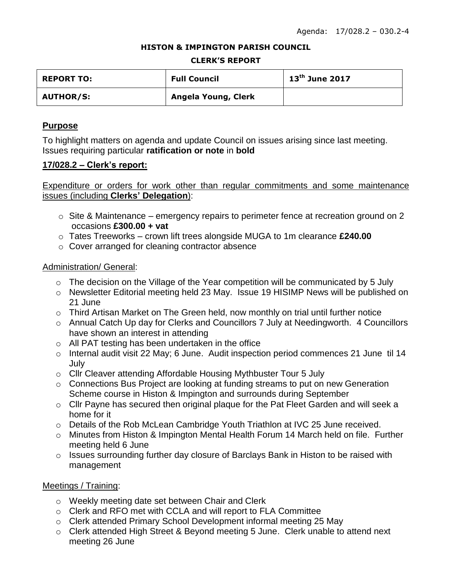#### **HISTON & IMPINGTON PARISH COUNCIL**

#### **CLERK'S REPORT**

| <b>REPORT TO:</b> | <b>Full Council</b> | $13^{th}$ June 2017 |
|-------------------|---------------------|---------------------|
| <b>AUTHOR/S:</b>  | Angela Young, Clerk |                     |

## **Purpose**

To highlight matters on agenda and update Council on issues arising since last meeting. Issues requiring particular **ratification or note** in **bold**

## **17/028.2 – Clerk's report:**

Expenditure or orders for work other than regular commitments and some maintenance issues (including **Clerks' Delegation**):

- $\circ$  Site & Maintenance emergency repairs to perimeter fence at recreation ground on 2 occasions **£300.00 + vat**
- o Tates Treeworks crown lift trees alongside MUGA to 1m clearance **£240.00**
- o Cover arranged for cleaning contractor absence

## Administration/ General:

- $\circ$  The decision on the Village of the Year competition will be communicated by 5 July
- o Newsletter Editorial meeting held 23 May. Issue 19 HISIMP News will be published on 21 June
- o Third Artisan Market on The Green held, now monthly on trial until further notice
- o Annual Catch Up day for Clerks and Councillors 7 July at Needingworth. 4 Councillors have shown an interest in attending
- o All PAT testing has been undertaken in the office
- o Internal audit visit 22 May; 6 June. Audit inspection period commences 21 June til 14 July
- o Cllr Cleaver attending Affordable Housing Mythbuster Tour 5 July
- o Connections Bus Project are looking at funding streams to put on new Generation Scheme course in Histon & Impington and surrounds during September
- o Cllr Payne has secured then original plaque for the Pat Fleet Garden and will seek a home for it
- o Details of the Rob McLean Cambridge Youth Triathlon at IVC 25 June received.
- o Minutes from Histon & Impington Mental Health Forum 14 March held on file. Further meeting held 6 June
- o Issues surrounding further day closure of Barclays Bank in Histon to be raised with management

## Meetings / Training:

- o Weekly meeting date set between Chair and Clerk
- o Clerk and RFO met with CCLA and will report to FLA Committee
- o Clerk attended Primary School Development informal meeting 25 May
- o Clerk attended High Street & Beyond meeting 5 June. Clerk unable to attend next meeting 26 June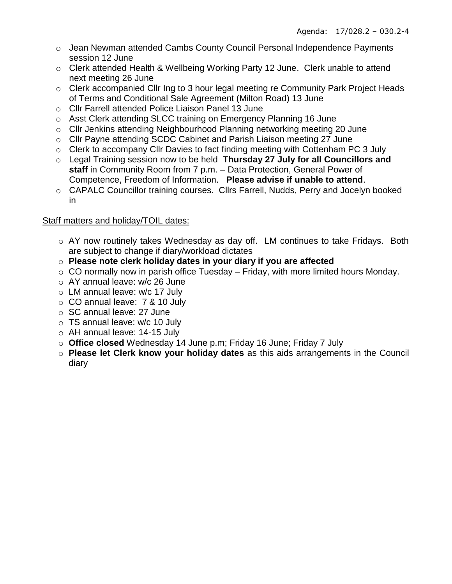- o Jean Newman attended Cambs County Council Personal Independence Payments session 12 June
- $\circ$  Clerk attended Health & Wellbeing Working Party 12 June. Clerk unable to attend next meeting 26 June
- o Clerk accompanied Cllr Ing to 3 hour legal meeting re Community Park Project Heads of Terms and Conditional Sale Agreement (Milton Road) 13 June
- o Cllr Farrell attended Police Liaison Panel 13 June
- $\circ$  Asst Clerk attending SLCC training on Emergency Planning 16 June
- o Cllr Jenkins attending Neighbourhood Planning networking meeting 20 June
- o Cllr Payne attending SCDC Cabinet and Parish Liaison meeting 27 June
- o Clerk to accompany Cllr Davies to fact finding meeting with Cottenham PC 3 July
- o Legal Training session now to be held **Thursday 27 July for all Councillors and staff** in Community Room from 7 p.m. – Data Protection, General Power of Competence, Freedom of Information. **Please advise if unable to attend**.
- o CAPALC Councillor training courses. Cllrs Farrell, Nudds, Perry and Jocelyn booked in

# Staff matters and holiday/TOIL dates:

- o AY now routinely takes Wednesday as day off. LM continues to take Fridays. Both are subject to change if diary/workload dictates
- o **Please note clerk holiday dates in your diary if you are affected**
- $\circ$  CO normally now in parish office Tuesday Friday, with more limited hours Monday.
- o AY annual leave: w/c 26 June
- o LM annual leave: w/c 17 July
- o CO annual leave: 7 & 10 July
- o SC annual leave: 27 June
- $\circ$  TS annual leave: w/c 10 July
- o AH annual leave: 14-15 July
- o **Office closed** Wednesday 14 June p.m; Friday 16 June; Friday 7 July
- o **Please let Clerk know your holiday dates** as this aids arrangements in the Council diary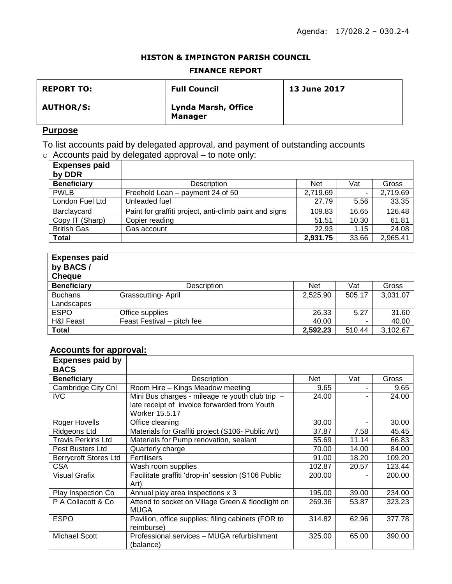### **HISTON & IMPINGTON PARISH COUNCIL**

### **FINANCE REPORT**

| <b>REPORT TO:</b> | <b>Full Council</b>                   | <b>13 June 2017</b> |
|-------------------|---------------------------------------|---------------------|
| <b>AUTHOR/S:</b>  | Lynda Marsh, Office<br><b>Manager</b> |                     |

# **Purpose**

To list accounts paid by delegated approval, and payment of outstanding accounts  $\circ$  Accounts paid by delegated approval – to note only:

| $1.000$ $0.100$ $0.01$ | $\alpha$                                               |            |       |          |
|------------------------|--------------------------------------------------------|------------|-------|----------|
| <b>Expenses paid</b>   |                                                        |            |       |          |
| by DDR                 |                                                        |            |       |          |
| <b>Beneficiary</b>     | Description                                            | <b>Net</b> | Vat   | Gross    |
| <b>PWLB</b>            | Freehold Loan – payment 24 of 50                       | 2,719.69   |       | 2,719.69 |
| London Fuel Ltd        | Unleaded fuel                                          | 27.79      | 5.56  | 33.35    |
| Barclaycard            | Paint for graffiti project, anti-climb paint and signs | 109.83     | 16.65 | 126.48   |
| Copy IT (Sharp)        | Copier reading                                         | 51.51      | 10.30 | 61.81    |
| <b>British Gas</b>     | Gas account                                            | 22.93      | 1.15  | 24.08    |
| <b>Total</b>           |                                                        | 2,931.75   | 33.66 | 2,965.41 |

| <b>Expenses paid</b><br>by BACS/<br><b>Cheque</b> |                            |            |        |          |
|---------------------------------------------------|----------------------------|------------|--------|----------|
| <b>Beneficiary</b>                                | Description                | <b>Net</b> | Vat    | Gross    |
| <b>Buchans</b>                                    | Grasscutting-April         | 2,525.90   | 505.17 | 3,031.07 |
| Landscapes                                        |                            |            |        |          |
| <b>ESPO</b>                                       | Office supplies            | 26.33      | 5.27   | 31.60    |
| <b>H&amp;I Feast</b>                              | Feast Festival - pitch fee | 40.00      |        | 40.00    |
| <b>Total</b>                                      |                            | 2,592.23   | 510.44 | 3,102.67 |

# **Accounts for approval:**

| <b>Expenses paid by</b>      |                                                                  |        |       |        |
|------------------------------|------------------------------------------------------------------|--------|-------|--------|
| <b>BACS</b>                  |                                                                  |        |       |        |
| <b>Beneficiary</b>           | Description                                                      | Net    | Vat   | Gross  |
| Cambridge City Cnl           | Room Hire - Kings Meadow meeting                                 | 9.65   |       | 9.65   |
| <b>IVC</b>                   | Mini Bus charges - mileage re youth club trip -                  | 24.00  |       | 24.00  |
|                              | late receipt of invoice forwarded from Youth                     |        |       |        |
|                              | Worker 15.5.17                                                   |        |       |        |
| Roger Hovells                | Office cleaning                                                  | 30.00  |       | 30.00  |
| <b>Ridgeons Ltd</b>          | Materials for Graffiti project (S106- Public Art)                | 37.87  | 7.58  | 45.45  |
| <b>Travis Perkins Ltd</b>    | Materials for Pump renovation, sealant                           | 55.69  | 11.14 | 66.83  |
| Pest Busters Ltd             | Quarterly charge                                                 | 70.00  | 14.00 | 84.00  |
| <b>Berrycroft Stores Ltd</b> | <b>Fertilisers</b>                                               | 91.00  | 18.20 | 109.20 |
| <b>CSA</b>                   | Wash room supplies                                               | 102.87 | 20.57 | 123.44 |
| Visual Grafix                | Facilitate graffiti 'drop-in' session (S106 Public<br>Art)       | 200.00 |       | 200.00 |
| Play Inspection Co           | Annual play area inspections x 3                                 | 195.00 | 39.00 | 234.00 |
| P A Collacott & Co.          | Attend to socket on Village Green & floodlight on                | 269.36 | 53.87 | 323.23 |
|                              | MUGA                                                             |        |       |        |
| <b>ESPO</b>                  | Pavilion, office supplies; filing cabinets (FOR to<br>reimburse) | 314.82 | 62.96 | 377.78 |
| <b>Michael Scott</b>         | Professional services - MUGA refurbishment<br>(balance)          | 325.00 | 65.00 | 390.00 |